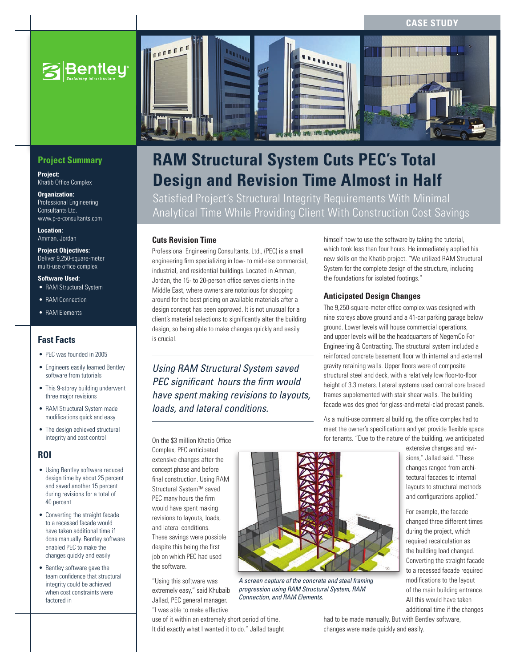

# **Project Summary**

**Project:**  Khatib Office Complex

**Organization:**  Professional Engineering Consultants Ltd. www.p-e-consultants.com

**Location:**  Amman, Jordan

#### **Project Objectives:**  Deliver 9,250-square-meter multi-use office complex

**Software Used:**

- RAM Structural System
- RAM Connection
- RAM Elements

# **Fast Facts**

- PEC was founded in 2005
- Engineers easily learned Bentley software from tutorials
- This 9-storey building underwent three major revisions
- RAM Structural System made modifications quick and easy
- The design achieved structural integrity and cost control

# **ROI**

- Using Bentley software reduced design time by about 25 percent and saved another 15 percent during revisions for a total of 40 percent
- • Converting the straight facade to a recessed facade would have taken additional time if done manually. Bentley software enabled PEC to make the changes quickly and easily
- • Bentley software gave the team confidence that structural integrity could be achieved when cost constraints were factored in



# **RAM Structural System Cuts PEC's Total Design and Revision Time Almost in Half**

Satisfied Project's Structural Integrity Requirements With Minimal Analytical Time While Providing Client With Construction Cost Savings

### **Cuts Revision Time**

Professional Engineering Consultants, Ltd., (PEC) is a small engineering firm specializing in low- to mid-rise commercial, industrial, and residential buildings. Located in Amman, Jordan, the 15- to 20-person office serves clients in the Middle East, where owners are notorious for shopping around for the best pricing on available materials after a design concept has been approved. It is not unusual for a client's material selections to significantly alter the building design, so being able to make changes quickly and easily is crucial.

*Using RAM Structural System saved PEC significant hours the firm would have spent making revisions to layouts, loads, and lateral conditions.* 

himself how to use the software by taking the tutorial, which took less than four hours. He immediately applied his new skills on the Khatib project. "We utilized RAM Structural System for the complete design of the structure, including the foundations for isolated footings."

# **Anticipated Design Changes**

The 9,250-square-meter office complex was designed with nine storeys above ground and a 41-car parking garage below ground. Lower levels will house commercial operations, and upper levels will be the headquarters of NegemCo For Engineering & Contracting. The structural system included a reinforced concrete basement floor with internal and external gravity retaining walls. Upper floors were of composite structural steel and deck, with a relatively low floor-to-floor height of 3.3 meters. Lateral systems used central core braced frames supplemented with stair shear walls. The building facade was designed for glass-and-metal-clad precast panels.

As a multi-use commercial building, the office complex had to meet the owner's specifications and yet provide flexible space for tenants. "Due to the nature of the building, we anticipated  $\mathcal{O}$ 

extensive changes and revisions," Jallad said. "These changes ranged from architectural facades to internal layouts to structural methods and configurations applied."

For example, the facade changed three different times during the project, which required recalculation as the building load changed. Converting the straight facade to a recessed facade required modifications to the layout of the main building entrance. All this would have taken additional time if the changes

On the \$3 million Khatib Office

Khatib Office Building

Complex, PEC anticipated extensive changes after the concept phase and before final construction. Using RAM Structural System™ saved PEC many hours the firm would have spent making revisions to layouts, loads, and lateral conditions. These savings were possible despite this being the first job on which PEC had used the software.

"Using this software was extremely easy," said Khubaib Jallad, PEC general manager. "I was able to make effective

use of it within an extremely short period of time. It did exactly what I wanted it to do." Jallad taught had to be made manually. But with Bentley software, changes were made quickly and easily.



*A screen capture of the concrete and steel framing progression using RAM Structural System, RAM Connection, and RAM Elements.*